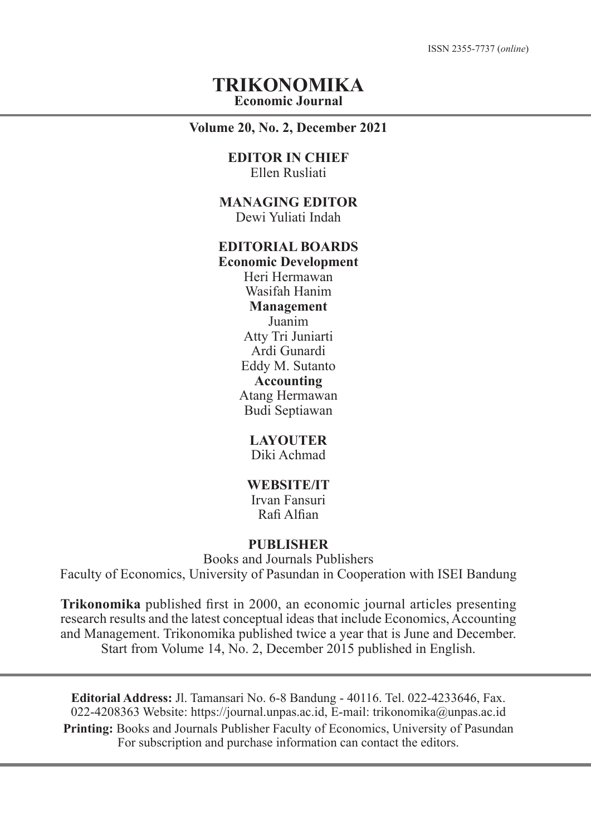ISSN 2355-7737 (*online*)

### **TRIKONOMIKA Economic Journal**

#### **Volume 20, No. 2, December 2021**

#### **EDITOR IN CHIEF** Ellen Rusliati

**MANAGING EDITOR** Dewi Yuliati Indah

## **EDITORIAL BOARDS**

**Economic Development** Heri Hermawan Wasifah Hanim **Management** Juanim Atty Tri Juniarti Ardi Gunardi Eddy M. Sutanto **Accounting** Atang Hermawan Budi Septiawan

### **LAYOUTER**

Diki Achmad

## **WEBSITE/IT**

Irvan Fansuri Rafi Alfian

#### **PUBLISHER**

Books and Journals Publishers

Faculty of Economics, University of Pasundan in Cooperation with ISEI Bandung

**Trikonomika** published first in 2000, an economic journal articles presenting research results and the latest conceptual ideas that include Economics, Accounting and Management. Trikonomika published twice a year that is June and December. Start from Volume 14, No. 2, December 2015 published in English.

**Editorial Address:** Jl. Tamansari No. 6-8 Bandung - 40116. Tel. 022-4233646, Fax. 022-4208363 Website: https://journal.unpas.ac.id, E-mail: trikonomika@unpas.ac.id **Printing:** Books and Journals Publisher Faculty of Economics, University of Pasundan For subscription and purchase information can contact the editors.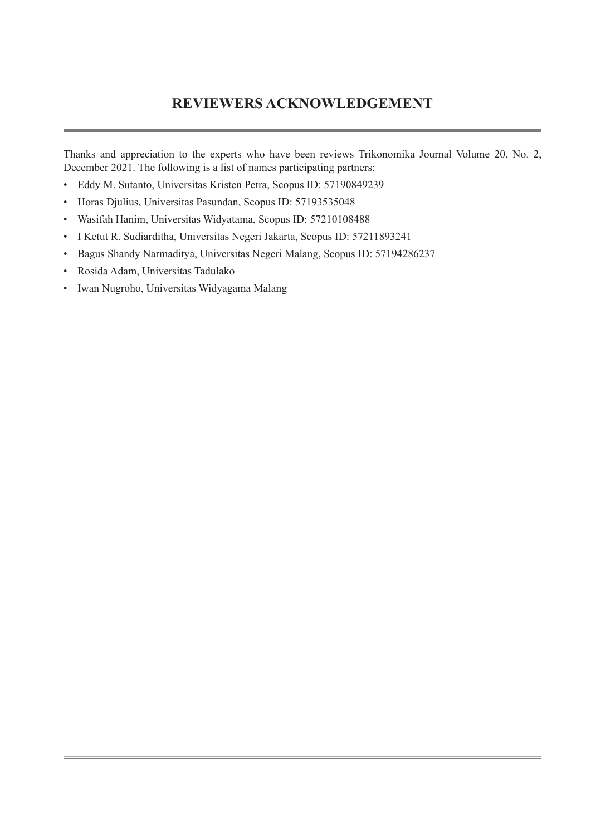## **REVIEWERS ACKNOWLEDGEMENT**

Thanks and appreciation to the experts who have been reviews Trikonomika Journal Volume 20, No. 2, December 2021. The following is a list of names participating partners:

- Eddy M. Sutanto, Universitas Kristen Petra, Scopus ID: 57190849239
- Horas Djulius, Universitas Pasundan, Scopus ID: 57193535048
- Wasifah Hanim, Universitas Widyatama, Scopus ID: 57210108488
- I Ketut R. Sudiarditha, Universitas Negeri Jakarta, Scopus ID: 57211893241
- Bagus Shandy Narmaditya, Universitas Negeri Malang, Scopus ID: 57194286237
- Rosida Adam, Universitas Tadulako
- Iwan Nugroho, Universitas Widyagama Malang